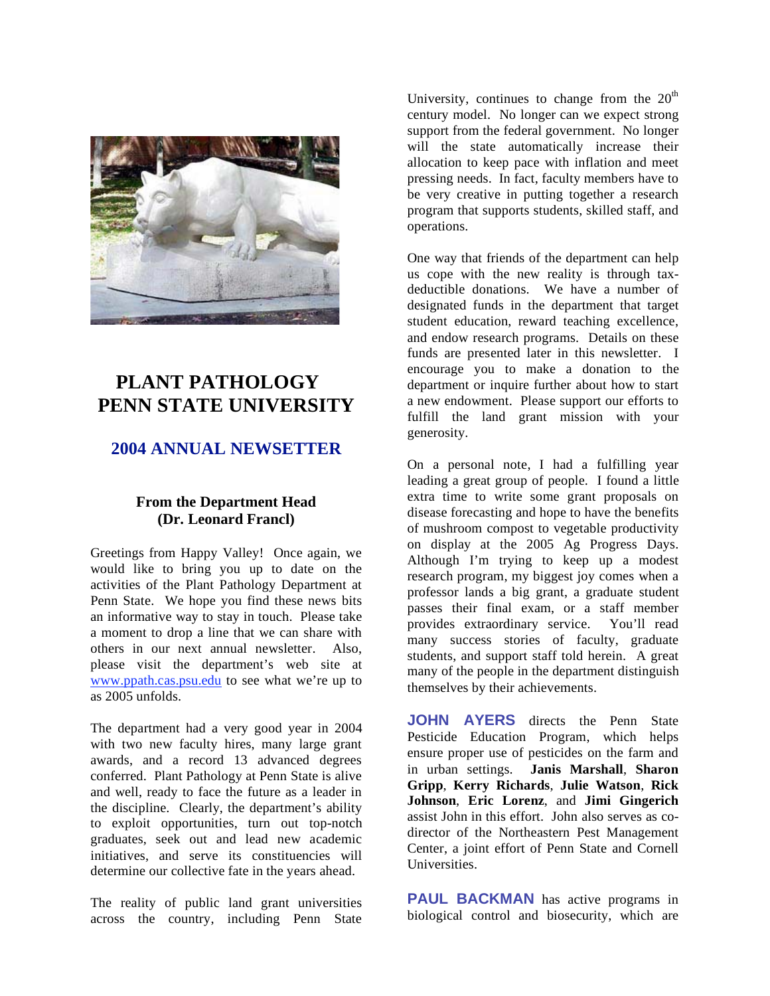

# **PLANT PATHOLOGY PENN STATE UNIVERSITY**

# **2004 ANNUAL NEWSETTER**

# **From the Department Head (Dr. Leonard Francl)**

Greetings from Happy Valley! Once again, we would like to bring you up to date on the activities of the Plant Pathology Department at Penn State. We hope you find these news bits an informative way to stay in touch. Please take a moment to drop a line that we can share with others in our next annual newsletter. Also, please visit the department's web site at www.ppath.cas.psu.edu to see what we're up to as 2005 unfolds.

The department had a very good year in 2004 with two new faculty hires, many large grant awards, and a record 13 advanced degrees conferred. Plant Pathology at Penn State is alive and well, ready to face the future as a leader in the discipline. Clearly, the department's ability to exploit opportunities, turn out top-notch graduates, seek out and lead new academic initiatives, and serve its constituencies will determine our collective fate in the years ahead.

The reality of public land grant universities across the country, including Penn State University, continues to change from the  $20<sup>th</sup>$ century model. No longer can we expect strong support from the federal government. No longer will the state automatically increase their allocation to keep pace with inflation and meet pressing needs. In fact, faculty members have to be very creative in putting together a research program that supports students, skilled staff, and operations.

One way that friends of the department can help us cope with the new reality is through taxdeductible donations. We have a number of designated funds in the department that target student education, reward teaching excellence, and endow research programs. Details on these funds are presented later in this newsletter. I encourage you to make a donation to the department or inquire further about how to start a new endowment. Please support our efforts to fulfill the land grant mission with your generosity.

On a personal note, I had a fulfilling year leading a great group of people. I found a little extra time to write some grant proposals on disease forecasting and hope to have the benefits of mushroom compost to vegetable productivity on display at the 2005 Ag Progress Days. Although I'm trying to keep up a modest research program, my biggest joy comes when a professor lands a big grant, a graduate student passes their final exam, or a staff member provides extraordinary service. You'll read many success stories of faculty, graduate students, and support staff told herein. A great many of the people in the department distinguish themselves by their achievements.

**JOHN AYERS** directs the Penn State Pesticide Education Program, which helps ensure proper use of pesticides on the farm and in urban settings. **Janis Marshall**, **Sharon Gripp**, **Kerry Richards**, **Julie Watson**, **Rick Johnson**, **Eric Lorenz**, and **Jimi Gingerich** assist John in this effort. John also serves as codirector of the Northeastern Pest Management Center, a joint effort of Penn State and Cornell **Universities** 

**PAUL BACKMAN** has active programs in biological control and biosecurity, which are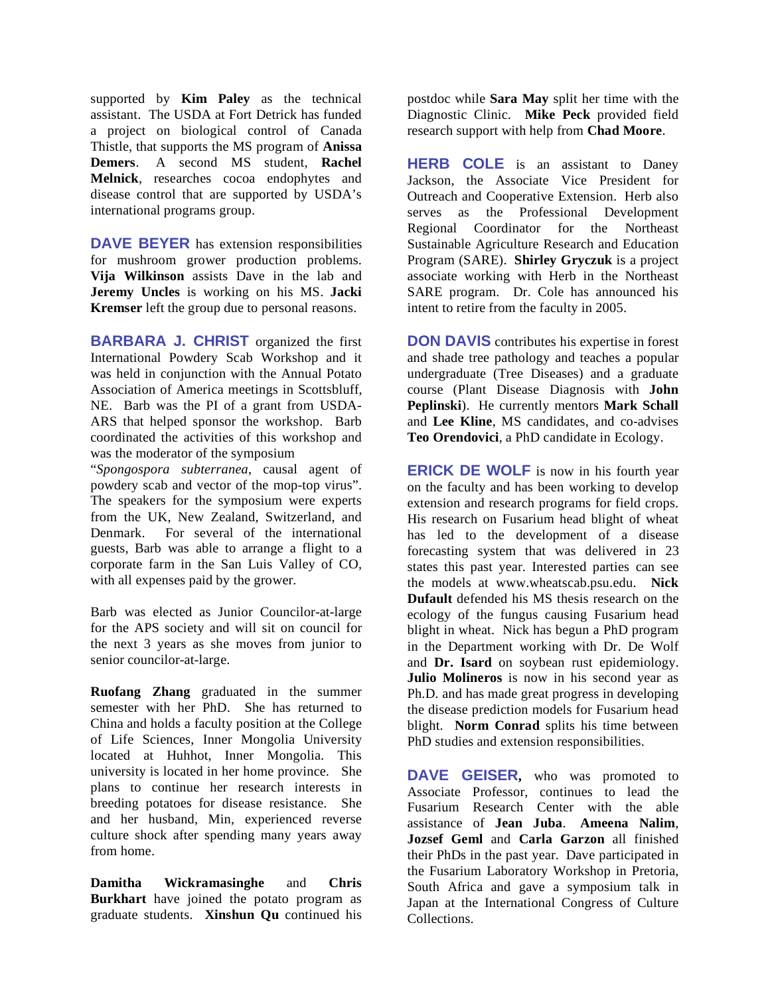supported by **Kim Paley** as the technical assistant. The USDA at Fort Detrick has funded a project on biological control of Canada Thistle, that supports the MS program of **Anissa Demers**. A second MS student, **Rachel Melnick**, researches cocoa endophytes and disease control that are supported by USDA's international programs group.

**DAVE BEYER** has extension responsibilities for mushroom grower production problems. **Vija Wilkinson** assists Dave in the lab and **Jeremy Uncles** is working on his MS. **Jacki Kremser** left the group due to personal reasons.

**BARBARA J. CHRIST** organized the first International Powdery Scab Workshop and it was held in conjunction with the Annual Potato Association of America meetings in Scottsbluff, NE. Barb was the PI of a grant from USDA-ARS that helped sponsor the workshop. Barb coordinated the activities of this workshop and was the moderator of the symposium

"*Spongospora subterranea*, causal agent of powdery scab and vector of the mop-top virus". The speakers for the symposium were experts from the UK, New Zealand, Switzerland, and Denmark. For several of the international guests, Barb was able to arrange a flight to a corporate farm in the San Luis Valley of CO, with all expenses paid by the grower.

Barb was elected as Junior Councilor-at-large for the APS society and will sit on council for the next 3 years as she moves from junior to senior councilor-at-large.

**Ruofang Zhang** graduated in the summer semester with her PhD. She has returned to China and holds a faculty position at the College of Life Sciences, Inner Mongolia University located at Huhhot, Inner Mongolia. This university is located in her home province. She plans to continue her research interests in breeding potatoes for disease resistance. She and her husband, Min, experienced reverse culture shock after spending many years away from home.

**Damitha Wickramasinghe** and **Chris Burkhart** have joined the potato program as graduate students. **Xinshun Qu** continued his

postdoc while **Sara May** split her time with the Diagnostic Clinic. **Mike Peck** provided field research support with help from **Chad Moore**.

**HERB COLE** is an assistant to Daney Jackson, the Associate Vice President for Outreach and Cooperative Extension. Herb also serves as the Professional Development Regional Coordinator for the Northeast Sustainable Agriculture Research and Education Program (SARE). **Shirley Gryczuk** is a project associate working with Herb in the Northeast SARE program. Dr. Cole has announced his intent to retire from the faculty in 2005.

**DON DAVIS** contributes his expertise in forest and shade tree pathology and teaches a popular undergraduate (Tree Diseases) and a graduate course (Plant Disease Diagnosis with **John Peplinski**). He currently mentors **Mark Schall** and **Lee Kline**, MS candidates, and co-advises **Teo Orendovici**, a PhD candidate in Ecology.

**ERICK DE WOLF** is now in his fourth year on the faculty and has been working to develop extension and research programs for field crops. His research on Fusarium head blight of wheat has led to the development of a disease forecasting system that was delivered in 23 states this past year. Interested parties can see the models at www.wheatscab.psu.edu. **Nick Dufault** defended his MS thesis research on the ecology of the fungus causing Fusarium head blight in wheat. Nick has begun a PhD program in the Department working with Dr. De Wolf and **Dr. Isard** on soybean rust epidemiology. **Julio Molineros** is now in his second year as Ph.D. and has made great progress in developing the disease prediction models for Fusarium head blight. **Norm Conrad** splits his time between PhD studies and extension responsibilities.

**DAVE GEISER,** who was promoted to Associate Professor, continues to lead the Fusarium Research Center with the able assistance of **Jean Juba**. **Ameena Nalim**, **Jozsef Geml** and **Carla Garzon** all finished their PhDs in the past year. Dave participated in the Fusarium Laboratory Workshop in Pretoria, South Africa and gave a symposium talk in Japan at the International Congress of Culture Collections.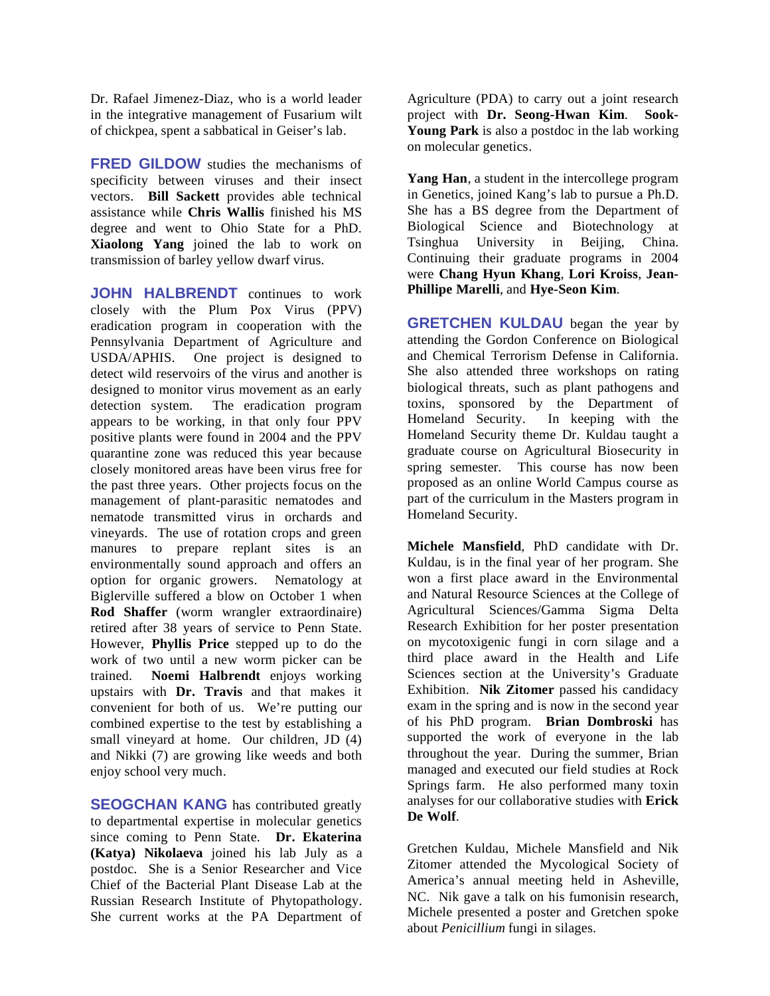Dr. Rafael Jimenez-Diaz, who is a world leader in the integrative management of Fusarium wilt of chickpea, spent a sabbatical in Geiser's lab.

**FRED GILDOW** studies the mechanisms of specificity between viruses and their insect vectors. **Bill Sackett** provides able technical assistance while **Chris Wallis** finished his MS degree and went to Ohio State for a PhD. **Xiaolong Yang** joined the lab to work on transmission of barley yellow dwarf virus.

**JOHN HALBRENDT** continues to work closely with the Plum Pox Virus (PPV) eradication program in cooperation with the Pennsylvania Department of Agriculture and USDA/APHIS. One project is designed to detect wild reservoirs of the virus and another is designed to monitor virus movement as an early detection system. The eradication program appears to be working, in that only four PPV positive plants were found in 2004 and the PPV quarantine zone was reduced this year because closely monitored areas have been virus free for the past three years. Other projects focus on the management of plant-parasitic nematodes and nematode transmitted virus in orchards and vineyards. The use of rotation crops and green manures to prepare replant sites is an environmentally sound approach and offers an option for organic growers. Nematology at Biglerville suffered a blow on October 1 when **Rod Shaffer** (worm wrangler extraordinaire) retired after 38 years of service to Penn State. However, **Phyllis Price** stepped up to do the work of two until a new worm picker can be trained. **Noemi Halbrendt** enjoys working upstairs with **Dr. Travis** and that makes it convenient for both of us. We're putting our combined expertise to the test by establishing a small vineyard at home. Our children, JD (4) and Nikki (7) are growing like weeds and both enjoy school very much.

**SEOGCHAN KANG** has contributed greatly to departmental expertise in molecular genetics since coming to Penn State. **Dr. Ekaterina (Katya) Nikolaeva** joined his lab July as a postdoc. She is a Senior Researcher and Vice Chief of the Bacterial Plant Disease Lab at the Russian Research Institute of Phytopathology. She current works at the PA Department of

Agriculture (PDA) to carry out a joint research project with **Dr. Seong-Hwan Kim**. **Sook-Young Park** is also a postdoc in the lab working on molecular genetics.

**Yang Han**, a student in the intercollege program in Genetics, joined Kang's lab to pursue a Ph.D. She has a BS degree from the Department of Biological Science and Biotechnology at Tsinghua University in Beijing, China. Continuing their graduate programs in 2004 were **Chang Hyun Khang**, **Lori Kroiss**, **Jean-Phillipe Marelli**, and **Hye-Seon Kim**.

**GRETCHEN KULDAU** began the year by attending the Gordon Conference on Biological and Chemical Terrorism Defense in California. She also attended three workshops on rating biological threats, such as plant pathogens and toxins, sponsored by the Department of Homeland Security. In keeping with the Homeland Security theme Dr. Kuldau taught a graduate course on Agricultural Biosecurity in spring semester. This course has now been proposed as an online World Campus course as part of the curriculum in the Masters program in Homeland Security.

**Michele Mansfield**, PhD candidate with Dr. Kuldau, is in the final year of her program. She won a first place award in the Environmental and Natural Resource Sciences at the College of Agricultural Sciences/Gamma Sigma Delta Research Exhibition for her poster presentation on mycotoxigenic fungi in corn silage and a third place award in the Health and Life Sciences section at the University's Graduate Exhibition. **Nik Zitomer** passed his candidacy exam in the spring and is now in the second year of his PhD program. **Brian Dombroski** has supported the work of everyone in the lab throughout the year. During the summer, Brian managed and executed our field studies at Rock Springs farm. He also performed many toxin analyses for our collaborative studies with **Erick De Wolf**.

Gretchen Kuldau, Michele Mansfield and Nik Zitomer attended the Mycological Society of America's annual meeting held in Asheville, NC. Nik gave a talk on his fumonisin research, Michele presented a poster and Gretchen spoke about *Penicillium* fungi in silages.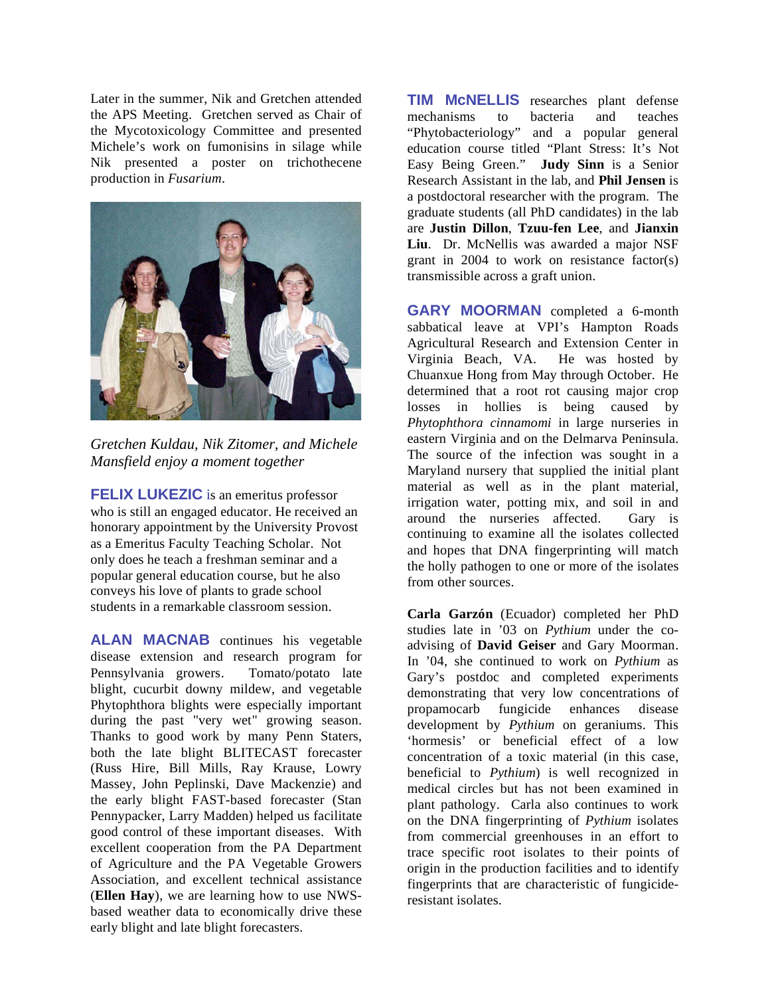Later in the summer, Nik and Gretchen attended the APS Meeting. Gretchen served as Chair of the Mycotoxicology Committee and presented Michele's work on fumonisins in silage while Nik presented a poster on trichothecene production in *Fusarium*.



*Gretchen Kuldau, Nik Zitomer, and Michele Mansfield enjoy a moment together* 

**FELIX LUKEZIC** is an emeritus professor who is still an engaged educator. He received an honorary appointment by the University Provost as a Emeritus Faculty Teaching Scholar. Not only does he teach a freshman seminar and a popular general education course, but he also conveys his love of plants to grade school students in a remarkable classroom session.

**ALAN MACNAB** continues his vegetable disease extension and research program for Pennsylvania growers. Tomato/potato late blight, cucurbit downy mildew, and vegetable Phytophthora blights were especially important during the past "very wet" growing season. Thanks to good work by many Penn Staters, both the late blight BLITECAST forecaster (Russ Hire, Bill Mills, Ray Krause, Lowry Massey, John Peplinski, Dave Mackenzie) and the early blight FAST-based forecaster (Stan Pennypacker, Larry Madden) helped us facilitate good control of these important diseases. With excellent cooperation from the PA Department of Agriculture and the PA Vegetable Growers Association, and excellent technical assistance (**Ellen Hay**), we are learning how to use NWSbased weather data to economically drive these early blight and late blight forecasters.

**TIM McNELLIS** researches plant defense mechanisms to bacteria and teaches "Phytobacteriology" and a popular general education course titled "Plant Stress: It's Not Easy Being Green." **Judy Sinn** is a Senior Research Assistant in the lab, and **Phil Jensen** is a postdoctoral researcher with the program. The graduate students (all PhD candidates) in the lab are **Justin Dillon**, **Tzuu-fen Lee**, and **Jianxin Liu**.Dr. McNellis was awarded a major NSF grant in 2004 to work on resistance factor(s) transmissible across a graft union.

**GARY MOORMAN** completed a 6-month sabbatical leave at VPI's Hampton Roads Agricultural Research and Extension Center in Virginia Beach, VA. He was hosted by Chuanxue Hong from May through October. He determined that a root rot causing major crop losses in hollies is being caused by *Phytophthora cinnamomi* in large nurseries in eastern Virginia and on the Delmarva Peninsula. The source of the infection was sought in a Maryland nursery that supplied the initial plant material as well as in the plant material, irrigation water, potting mix, and soil in and around the nurseries affected. Gary is continuing to examine all the isolates collected and hopes that DNA fingerprinting will match the holly pathogen to one or more of the isolates from other sources.

**Carla Garzón** (Ecuador) completed her PhD studies late in '03 on *Pythium* under the coadvising of **David Geiser** and Gary Moorman. In '04, she continued to work on *Pythium* as Gary's postdoc and completed experiments demonstrating that very low concentrations of propamocarb fungicide enhances disease development by *Pythium* on geraniums. This 'hormesis' or beneficial effect of a low concentration of a toxic material (in this case, beneficial to *Pythium*) is well recognized in medical circles but has not been examined in plant pathology. Carla also continues to work on the DNA fingerprinting of *Pythium* isolates from commercial greenhouses in an effort to trace specific root isolates to their points of origin in the production facilities and to identify fingerprints that are characteristic of fungicideresistant isolates.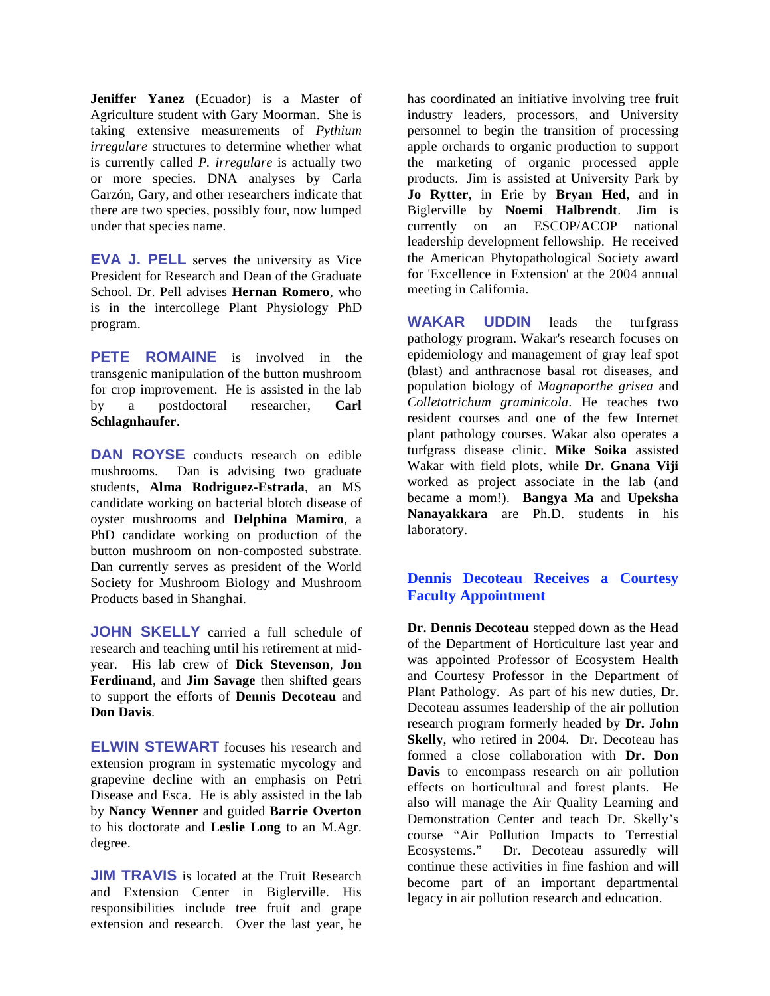**Jeniffer Yanez** (Ecuador) is a Master of Agriculture student with Gary Moorman. She is taking extensive measurements of *Pythium irregulare* structures to determine whether what is currently called *P. irregulare* is actually two or more species. DNA analyses by Carla Garzón, Gary, and other researchers indicate that there are two species, possibly four, now lumped under that species name.

**EVA J. PELL** serves the university as Vice President for Research and Dean of the Graduate School. Dr. Pell advises **Hernan Romero**, who is in the intercollege Plant Physiology PhD program.

**PETE ROMAINE** is involved in the transgenic manipulation of the button mushroom for crop improvement. He is assisted in the lab by a postdoctoral researcher, **Carl Schlagnhaufer**.

**DAN ROYSE** conducts research on edible mushrooms. Dan is advising two graduate students, **Alma Rodriguez-Estrada**, an MS candidate working on bacterial blotch disease of oyster mushrooms and **Delphina Mamiro**, a PhD candidate working on production of the button mushroom on non-composted substrate. Dan currently serves as president of the World Society for Mushroom Biology and Mushroom Products based in Shanghai.

**JOHN SKELLY** carried a full schedule of research and teaching until his retirement at midyear. His lab crew of **Dick Stevenson**, **Jon Ferdinand**, and **Jim Savage** then shifted gears to support the efforts of **Dennis Decoteau** and **Don Davis**.

**ELWIN STEWART** focuses his research and extension program in systematic mycology and grapevine decline with an emphasis on Petri Disease and Esca. He is ably assisted in the lab by **Nancy Wenner** and guided **Barrie Overton** to his doctorate and **Leslie Long** to an M.Agr. degree.

**JIM TRAVIS** is located at the Fruit Research and Extension Center in Biglerville. His responsibilities include tree fruit and grape extension and research. Over the last year, he has coordinated an initiative involving tree fruit industry leaders, processors, and University personnel to begin the transition of processing apple orchards to organic production to support the marketing of organic processed apple products. Jim is assisted at University Park by **Jo Rytter**, in Erie by **Bryan Hed**, and in Biglerville by **Noemi Halbrendt**. Jim is currently on an ESCOP/ACOP national leadership development fellowship. He received the American Phytopathological Society award for 'Excellence in Extension' at the 2004 annual meeting in California.

**WAKAR UDDIN** leads the turfgrass pathology program. Wakar's research focuses on epidemiology and management of gray leaf spot (blast) and anthracnose basal rot diseases, and population biology of *Magnaporthe grisea* and *Colletotrichum graminicola*. He teaches two resident courses and one of the few Internet plant pathology courses. Wakar also operates a turfgrass disease clinic. **Mike Soika** assisted Wakar with field plots, while **Dr. Gnana Viji** worked as project associate in the lab (and became a mom!). **Bangya Ma** and **Upeksha Nanayakkara** are Ph.D. students in his laboratory.

# **Dennis Decoteau Receives a Courtesy Faculty Appointment**

**Dr. Dennis Decoteau** stepped down as the Head of the Department of Horticulture last year and was appointed Professor of Ecosystem Health and Courtesy Professor in the Department of Plant Pathology. As part of his new duties, Dr. Decoteau assumes leadership of the air pollution research program formerly headed by **Dr. John Skelly**, who retired in 2004. Dr. Decoteau has formed a close collaboration with **Dr. Don Davis** to encompass research on air pollution effects on horticultural and forest plants. He also will manage the Air Quality Learning and Demonstration Center and teach Dr. Skelly's course "Air Pollution Impacts to Terrestial Ecosystems." Dr. Decoteau assuredly will continue these activities in fine fashion and will become part of an important departmental legacy in air pollution research and education.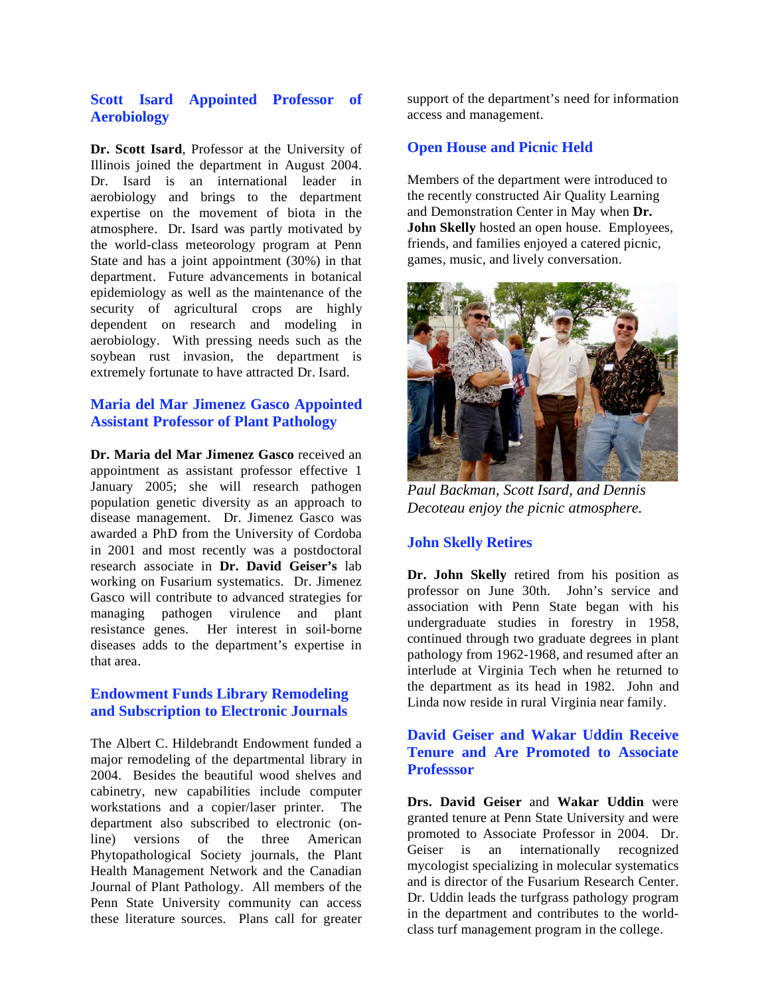#### **Scott Isard Appointed Professor of Aerobiology**

**Dr. Scott Isard**, Professor at the University of Illinois joined the department in August 2004. Dr. Isard is an international leader in aerobiology and brings to the department expertise on the movement of biota in the atmosphere. Dr. Isard was partly motivated by the world-class meteorology program at Penn State and has a joint appointment (30%) in that department. Future advancements in botanical epidemiology as well as the maintenance of the security of agricultural crops are highly dependent on research and modeling in aerobiology. With pressing needs such as the soybean rust invasion, the department is extremely fortunate to have attracted Dr. Isard.

# **Maria del Mar Jimenez Gasco Appointed Assistant Professor of Plant Pathology**

**Dr. Maria del Mar Jimenez Gasco** received an appointment as assistant professor effective 1 January 2005; she will research pathogen population genetic diversity as an approach to disease management. Dr. Jimenez Gasco was awarded a PhD from the University of Cordoba in 2001 and most recently was a postdoctoral research associate in **Dr. David Geiser's** lab working on Fusarium systematics. Dr. Jimenez Gasco will contribute to advanced strategies for managing pathogen virulence and plant resistance genes. Her interest in soil-borne diseases adds to the department's expertise in that area.

#### **Endowment Funds Library Remodeling and Subscription to Electronic Journals**

The Albert C. Hildebrandt Endowment funded a major remodeling of the departmental library in 2004. Besides the beautiful wood shelves and cabinetry, new capabilities include computer workstations and a copier/laser printer. The department also subscribed to electronic (online) versions of the three American Phytopathological Society journals, the Plant Health Management Network and the Canadian Journal of Plant Pathology. All members of the Penn State University community can access these literature sources. Plans call for greater

support of the department's need for information access and management.

## **Open House and Picnic Held**

Members of the department were introduced to the recently constructed Air Quality Learning and Demonstration Center in May when **Dr. John Skelly** hosted an open house. Employees, friends, and families enjoyed a catered picnic, games, music, and lively conversation.



*Paul Backman, Scott Isard, and Dennis Decoteau enjoy the picnic atmosphere.* 

#### **John Skelly Retires**

**Dr. John Skelly** retired from his position as professor on June 30th. John's service and association with Penn State began with his undergraduate studies in forestry in 1958, continued through two graduate degrees in plant pathology from 1962-1968, and resumed after an interlude at Virginia Tech when he returned to the department as its head in 1982. John and Linda now reside in rural Virginia near family.

# **David Geiser and Wakar Uddin Receive Tenure and Are Promoted to Associate Professsor**

**Drs. David Geiser** and **Wakar Uddin** were granted tenure at Penn State University and were promoted to Associate Professor in 2004. Dr. Geiser is an internationally recognized mycologist specializing in molecular systematics and is director of the Fusarium Research Center. Dr. Uddin leads the turfgrass pathology program in the department and contributes to the worldclass turf management program in the college.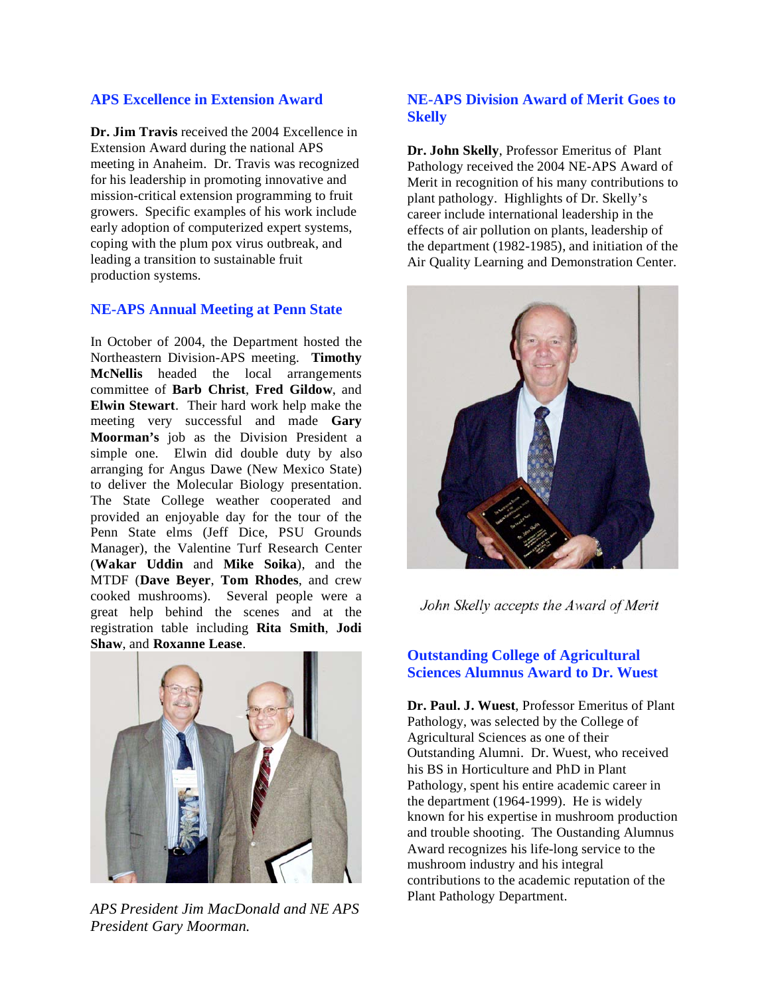# **APS Excellence in Extension Award**

**Dr. Jim Travis** received the 2004 Excellence in Extension Award during the national APS meeting in Anaheim. Dr. Travis was recognized for his leadership in promoting innovative and mission-critical extension programming to fruit growers. Specific examples of his work include early adoption of computerized expert systems, coping with the plum pox virus outbreak, and leading a transition to sustainable fruit production systems.

#### **NE-APS Annual Meeting at Penn State**

In October of 2004, the Department hosted the Northeastern Division-APS meeting. **Timothy McNellis** headed the local arrangements committee of **Barb Christ**, **Fred Gildow**, and **Elwin Stewart**. Their hard work help make the meeting very successful and made **Gary Moorman's** job as the Division President a simple one. Elwin did double duty by also arranging for Angus Dawe (New Mexico State) to deliver the Molecular Biology presentation. The State College weather cooperated and provided an enjoyable day for the tour of the Penn State elms (Jeff Dice, PSU Grounds Manager), the Valentine Turf Research Center (**Wakar Uddin** and **Mike Soika**), and the MTDF (**Dave Beyer**, **Tom Rhodes**, and crew cooked mushrooms). Several people were a great help behind the scenes and at the registration table including **Rita Smith**, **Jodi Shaw**, and **Roxanne Lease**.



*APS President Jim MacDonald and NE APS President Gary Moorman.* 

## **NE-APS Division Award of Merit Goes to Skelly**

**Dr. John Skelly**, Professor Emeritus of Plant Pathology received the 2004 NE-APS Award of Merit in recognition of his many contributions to plant pathology. Highlights of Dr. Skelly's career include international leadership in the effects of air pollution on plants, leadership of the department (1982-1985), and initiation of the Air Quality Learning and Demonstration Center.



John Skelly accepts the Award of Merit

# **Outstanding College of Agricultural Sciences Alumnus Award to Dr. Wuest**

**Dr. Paul. J. Wuest**, Professor Emeritus of Plant Pathology, was selected by the College of Agricultural Sciences as one of their Outstanding Alumni. Dr. Wuest, who received his BS in Horticulture and PhD in Plant Pathology, spent his entire academic career in the department (1964-1999). He is widely known for his expertise in mushroom production and trouble shooting. The Oustanding Alumnus Award recognizes his life-long service to the mushroom industry and his integral contributions to the academic reputation of the Plant Pathology Department.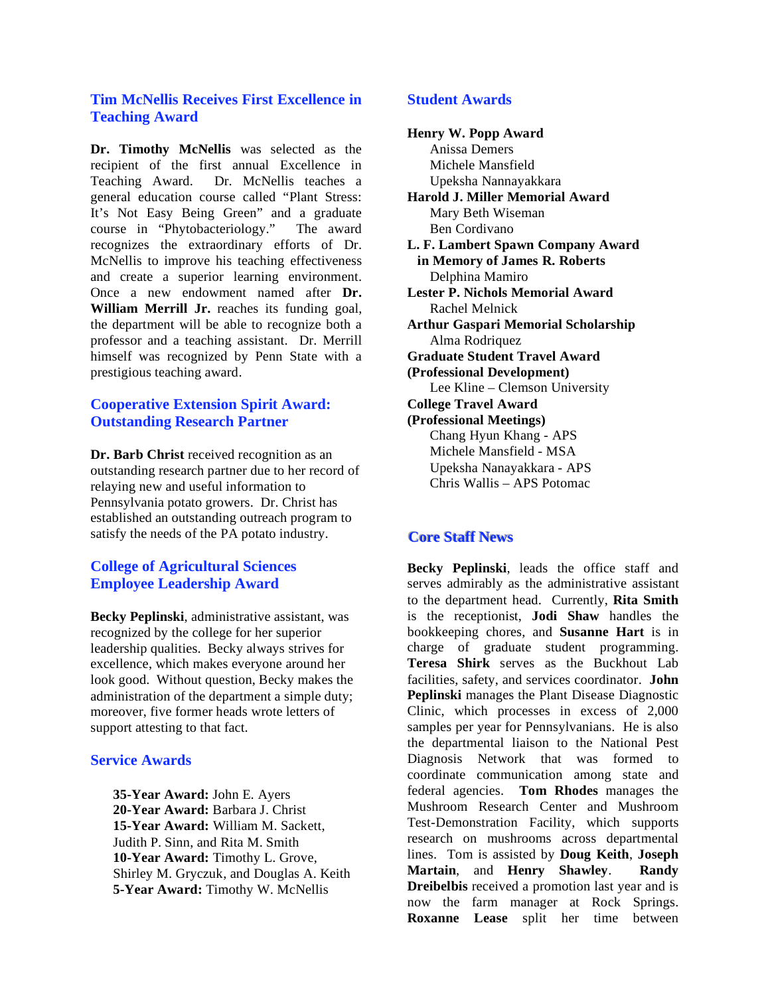#### **Tim McNellis Receives First Excellence in Teaching Award**

**Dr. Timothy McNellis** was selected as the recipient of the first annual Excellence in Teaching Award. Dr. McNellis teaches a general education course called "Plant Stress: It's Not Easy Being Green" and a graduate course in "Phytobacteriology." The award recognizes the extraordinary efforts of Dr. McNellis to improve his teaching effectiveness and create a superior learning environment. Once a new endowment named after **Dr. William Merrill Jr.** reaches its funding goal, the department will be able to recognize both a professor and a teaching assistant. Dr. Merrill himself was recognized by Penn State with a prestigious teaching award.

# **Cooperative Extension Spirit Award: Outstanding Research Partner**

**Dr. Barb Christ** received recognition as an outstanding research partner due to her record of relaying new and useful information to Pennsylvania potato growers. Dr. Christ has established an outstanding outreach program to satisfy the needs of the PA potato industry.

# **College of Agricultural Sciences Employee Leadership Award**

**Becky Peplinski**, administrative assistant, was recognized by the college for her superior leadership qualities. Becky always strives for excellence, which makes everyone around her look good. Without question, Becky makes the administration of the department a simple duty; moreover, five former heads wrote letters of support attesting to that fact.

#### **Service Awards**

 **35-Year Award:** John E. Ayers  **20-Year Award:** Barbara J. Christ  **15-Year Award:** William M. Sackett, Judith P. Sinn, and Rita M. Smith  **10-Year Award:** Timothy L. Grove, Shirley M. Gryczuk, and Douglas A. Keith  **5-Year Award:** Timothy W. McNellis

#### **Student Awards**

**Henry W. Popp Award**  Anissa Demers Michele Mansfield Upeksha Nannayakkara **Harold J. Miller Memorial Award**  Mary Beth Wiseman Ben Cordivano **L. F. Lambert Spawn Company Award in Memory of James R. Roberts**  Delphina Mamiro **Lester P. Nichols Memorial Award**  Rachel Melnick **Arthur Gaspari Memorial Scholarship**  Alma Rodriquez **Graduate Student Travel Award (Professional Development)**  Lee Kline – Clemson University **College Travel Award (Professional Meetings)**  Chang Hyun Khang - APS Michele Mansfield - MSA Upeksha Nanayakkara - APS Chris Wallis – APS Potomac

# **Core Staff News**

**Becky Peplinski**, leads the office staff and serves admirably as the administrative assistant to the department head. Currently, **Rita Smith** is the receptionist, **Jodi Shaw** handles the bookkeeping chores, and **Susanne Hart** is in charge of graduate student programming. **Teresa Shirk** serves as the Buckhout Lab facilities, safety, and services coordinator. **John Peplinski** manages the Plant Disease Diagnostic Clinic, which processes in excess of 2,000 samples per year for Pennsylvanians. He is also the departmental liaison to the National Pest Diagnosis Network that was formed to coordinate communication among state and federal agencies. **Tom Rhodes** manages the Mushroom Research Center and Mushroom Test-Demonstration Facility, which supports research on mushrooms across departmental lines. Tom is assisted by **Doug Keith**, **Joseph Martain**, and **Henry Shawley**. **Randy Dreibelbis** received a promotion last year and is now the farm manager at Rock Springs. **Roxanne Lease** split her time between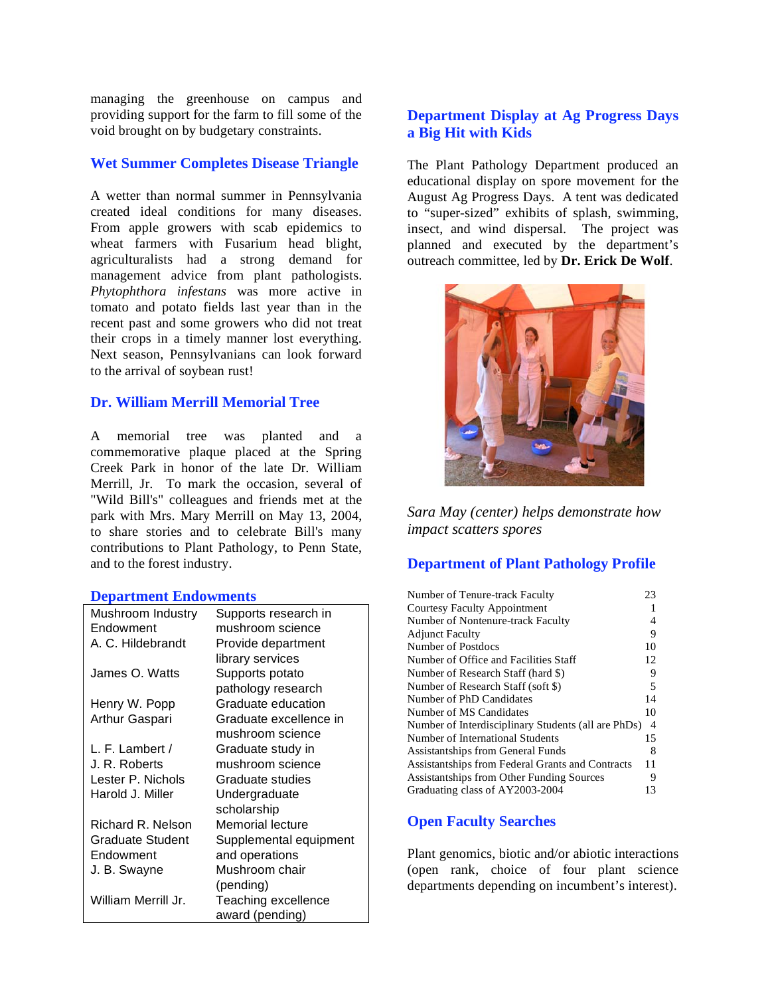managing the greenhouse on campus and providing support for the farm to fill some of the void brought on by budgetary constraints.

#### **Wet Summer Completes Disease Triangle**

A wetter than normal summer in Pennsylvania created ideal conditions for many diseases. From apple growers with scab epidemics to wheat farmers with Fusarium head blight, agriculturalists had a strong demand for management advice from plant pathologists. *Phytophthora infestans* was more active in tomato and potato fields last year than in the recent past and some growers who did not treat their crops in a timely manner lost everything. Next season, Pennsylvanians can look forward to the arrival of soybean rust!

#### **Dr. William Merrill Memorial Tree**

A memorial tree was planted and a commemorative plaque placed at the Spring Creek Park in honor of the late Dr. William Merrill, Jr. To mark the occasion, several of "Wild Bill's" colleagues and friends met at the park with Mrs. Mary Merrill on May 13, 2004, to share stories and to celebrate Bill's many contributions to Plant Pathology, to Penn State, and to the forest industry.

#### **Department Endowments**

| Mushroom Industry       | Supports research in   |
|-------------------------|------------------------|
| Endowment               | mushroom science       |
| A. C. Hildebrandt       | Provide department     |
|                         | library services       |
| James O. Watts          | Supports potato        |
|                         | pathology research     |
| Henry W. Popp           | Graduate education     |
| Arthur Gaspari          | Graduate excellence in |
|                         | mushroom science       |
| L. F. Lambert /         | Graduate study in      |
| J. R. Roberts           | mushroom science       |
| Lester P. Nichols       | Graduate studies       |
| Harold J. Miller        | Undergraduate          |
|                         | scholarship            |
| Richard R. Nelson       | Memorial lecture       |
| <b>Graduate Student</b> | Supplemental equipment |
| Endowment               | and operations         |
| J. B. Swayne            | Mushroom chair         |
|                         | (pending)              |
| William Merrill Jr.     | Teaching excellence    |
|                         | award (pending)        |

# **Department Display at Ag Progress Days a Big Hit with Kids**

The Plant Pathology Department produced an educational display on spore movement for the August Ag Progress Days. A tent was dedicated to "super-sized" exhibits of splash, swimming, insect, and wind dispersal. The project was planned and executed by the department's outreach committee, led by **Dr. Erick De Wolf**.



*Sara May (center) helps demonstrate how impact scatters spores* 

# **Department of Plant Pathology Profile**

| Number of Tenure-track Faculty                      | 23 |
|-----------------------------------------------------|----|
| <b>Courtesy Faculty Appointment</b>                 |    |
| Number of Nontenure-track Faculty                   | 4  |
| <b>Adjunct Faculty</b>                              | 9  |
| Number of Postdocs                                  | 10 |
| Number of Office and Facilities Staff               | 12 |
| Number of Research Staff (hard \$)                  | 9  |
| Number of Research Staff (soft \$)                  | 5  |
| Number of PhD Candidates                            | 14 |
| Number of MS Candidates                             | 10 |
| Number of Interdisciplinary Students (all are PhDs) | -4 |
| Number of International Students                    | 15 |
| Assistantships from General Funds                   | 8  |
| Assistantships from Federal Grants and Contracts    | 11 |
| Assistantships from Other Funding Sources           | 9  |
| Graduating class of AY2003-2004                     | 13 |

# **Open Faculty Searches**

Plant genomics, biotic and/or abiotic interactions (open rank, choice of four plant science departments depending on incumbent's interest).